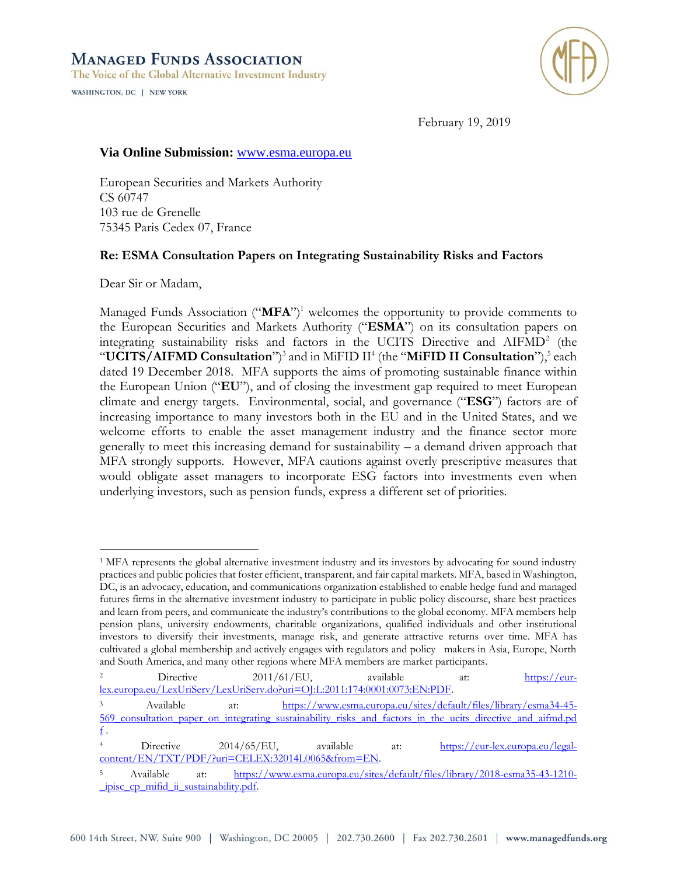

February 19, 2019

# **Via Online Submission:** www.esma.europa.eu

European Securities and Markets Authority CS 60747 103 rue de Grenelle 75345 Paris Cedex 07, France

## **Re: ESMA Consultation Papers on Integrating Sustainability Risks and Factors**

Dear Sir or Madam,

WASHINGTON, DC | NEW YORK

 $\overline{a}$ 

Managed Funds Association ("**MFA**")<sup>1</sup> welcomes the opportunity to provide comments to the European Securities and Markets Authority ("**ESMA**") on its consultation papers on integrating sustainability risks and factors in the UCITS Directive and AIFMD<sup>2</sup> (the "**UCITS/AIFMD Consultation**")<sup>3</sup> and in MiFID II<sup>4</sup> (the "MiFID II Consultation"),<sup>5</sup> each dated 19 December 2018. MFA supports the aims of promoting sustainable finance within the European Union ("**EU**"), and of closing the investment gap required to meet European climate and energy targets. Environmental, social, and governance ("**ESG**") factors are of increasing importance to many investors both in the EU and in the United States, and we welcome efforts to enable the asset management industry and the finance sector more generally to meet this increasing demand for sustainability – a demand driven approach that MFA strongly supports. However, MFA cautions against overly prescriptive measures that would obligate asset managers to incorporate ESG factors into investments even when underlying investors, such as pension funds, express a different set of priorities.

<sup>1</sup> MFA represents the global alternative investment industry and its investors by advocating for sound industry practices and public policies that foster efficient, transparent, and fair capital markets. MFA, based in Washington, DC, is an advocacy, education, and communications organization established to enable hedge fund and managed futures firms in the alternative investment industry to participate in public policy discourse, share best practices and learn from peers, and communicate the industry's contributions to the global economy. MFA members help pension plans, university endowments, charitable organizations, qualified individuals and other institutional investors to diversify their investments, manage risk, and generate attractive returns over time. MFA has cultivated a global membership and actively engages with regulators and policy makers in Asia, Europe, North and South America, and many other regions where MFA members are market participants.

<sup>&</sup>lt;sup>2</sup> Directive 2011/61/EU, available at: [https://eur](https://eur-lex.europa.eu/LexUriServ/LexUriServ.do?uri=OJ:L:2011:174:0001:0073:EN:PDF)[lex.europa.eu/LexUriServ/LexUriServ.do?uri=OJ:L:2011:174:0001:0073:EN:PDF.](https://eur-lex.europa.eu/LexUriServ/LexUriServ.do?uri=OJ:L:2011:174:0001:0073:EN:PDF)

<sup>3</sup> Available at: [https://www.esma.europa.eu/sites/default/files/library/esma34-45-](https://www.esma.europa.eu/sites/default/files/library/esma34-45-569_consultation_paper_on_integrating_sustainability_risks_and_factors_in_the_ucits_directive_and_aifmd.pdf) 569 consultation paper on integrating sustainability risks and factors in the ucits directive and aifmd.pd  $f$ .

<sup>4</sup> Directive 2014/65/EU, available at: [https://eur-lex.europa.eu/legal](https://eur-lex.europa.eu/legal-content/EN/TXT/PDF/?uri=CELEX:32014L0065&from=EN)[content/EN/TXT/PDF/?uri=CELEX:32014L0065&from=EN.](https://eur-lex.europa.eu/legal-content/EN/TXT/PDF/?uri=CELEX:32014L0065&from=EN)

<sup>5</sup> Available at: [https://www.esma.europa.eu/sites/default/files/library/2018-esma35-43-1210-](https://www.esma.europa.eu/sites/default/files/library/2018-esma35-43-1210-_ipisc_cp_mifid_ii_sustainability.pdf) [\\_ipisc\\_cp\\_mifid\\_ii\\_sustainability.pdf.](https://www.esma.europa.eu/sites/default/files/library/2018-esma35-43-1210-_ipisc_cp_mifid_ii_sustainability.pdf)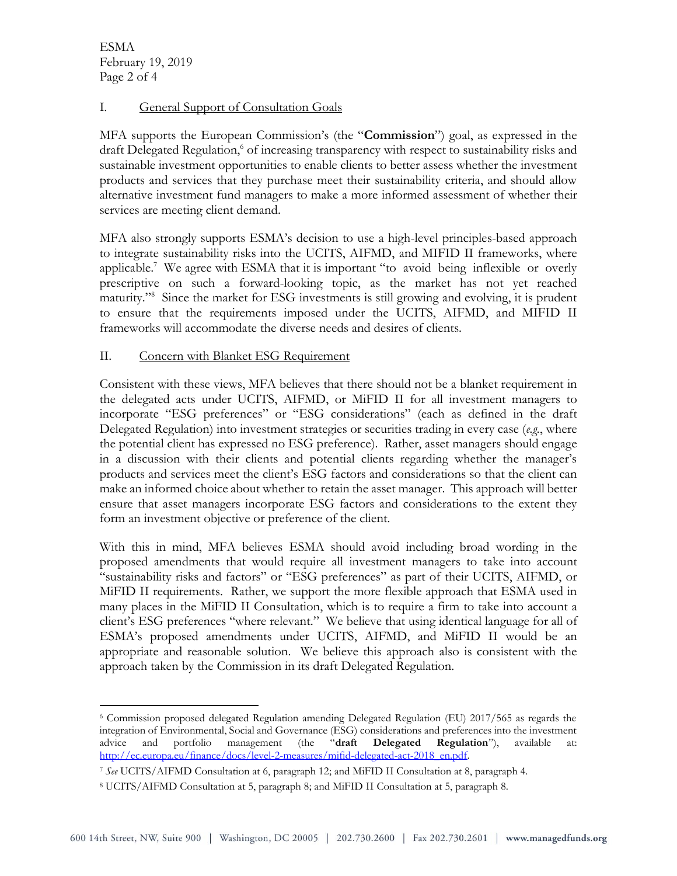ESMA February 19, 2019 Page 2 of 4

 $\overline{a}$ 

## I. General Support of Consultation Goals

MFA supports the European Commission's (the "**Commission**") goal, as expressed in the draft Delegated Regulation, <sup>6</sup> of increasing transparency with respect to sustainability risks and sustainable investment opportunities to enable clients to better assess whether the investment products and services that they purchase meet their sustainability criteria, and should allow alternative investment fund managers to make a more informed assessment of whether their services are meeting client demand.

MFA also strongly supports ESMA's decision to use a high-level principles-based approach to integrate sustainability risks into the UCITS, AIFMD, and MIFID II frameworks, where applicable.<sup>7</sup> We agree with ESMA that it is important "to avoid being inflexible or overly prescriptive on such a forward-looking topic, as the market has not yet reached maturity." 8 Since the market for ESG investments is still growing and evolving, it is prudent to ensure that the requirements imposed under the UCITS, AIFMD, and MIFID II frameworks will accommodate the diverse needs and desires of clients.

## II. Concern with Blanket ESG Requirement

Consistent with these views, MFA believes that there should not be a blanket requirement in the delegated acts under UCITS, AIFMD, or MiFID II for all investment managers to incorporate "ESG preferences" or "ESG considerations" (each as defined in the draft Delegated Regulation) into investment strategies or securities trading in every case (*e.g.*, where the potential client has expressed no ESG preference). Rather, asset managers should engage in a discussion with their clients and potential clients regarding whether the manager's products and services meet the client's ESG factors and considerations so that the client can make an informed choice about whether to retain the asset manager. This approach will better ensure that asset managers incorporate ESG factors and considerations to the extent they form an investment objective or preference of the client.

With this in mind, MFA believes ESMA should avoid including broad wording in the proposed amendments that would require all investment managers to take into account "sustainability risks and factors" or "ESG preferences" as part of their UCITS, AIFMD, or MiFID II requirements. Rather, we support the more flexible approach that ESMA used in many places in the MiFID II Consultation, which is to require a firm to take into account a client's ESG preferences "where relevant." We believe that using identical language for all of ESMA's proposed amendments under UCITS, AIFMD, and MiFID II would be an appropriate and reasonable solution. We believe this approach also is consistent with the approach taken by the Commission in its draft Delegated Regulation.

<sup>6</sup> Commission proposed delegated Regulation amending Delegated Regulation (EU) 2017/565 as regards the integration of Environmental, Social and Governance (ESG) considerations and preferences into the investment<br>advice and portfolio management (the "draft Delegated Regulation"), available at: advice and portfolio management (the "**draft Delegated Regulation**"), available at: [http://ec.europa.eu/finance/docs/level-2-measures/mifid-delegated-act-2018\\_en.pdf.](http://ec.europa.eu/finance/docs/level-2-measures/mifid-delegated-act-2018_en.pdf)

<sup>7</sup> *See* UCITS/AIFMD Consultation at 6, paragraph 12; and MiFID II Consultation at 8, paragraph 4.

<sup>8</sup> UCITS/AIFMD Consultation at 5, paragraph 8; and MiFID II Consultation at 5, paragraph 8.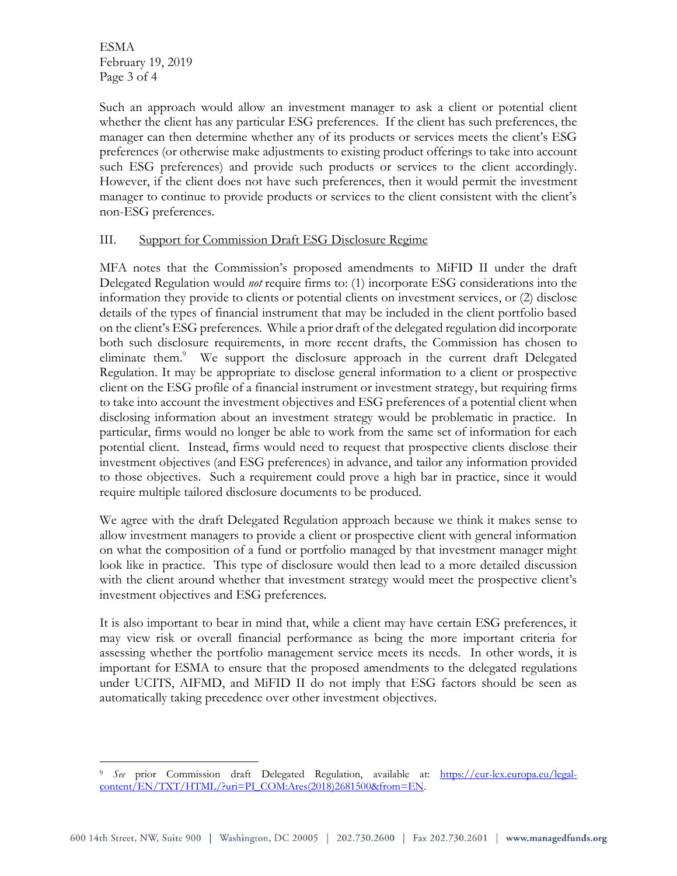ESMA February 19, 2019 Page 3 of 4

 $\overline{a}$ 

Such an approach would allow an investment manager to ask a client or potential client whether the client has any particular ESG preferences. If the client has such preferences, the manager can then determine whether any of its products or services meets the client's ESG preferences (or otherwise make adjustments to existing product offerings to take into account such ESG preferences) and provide such products or services to the client accordingly. However, if the client does not have such preferences, then it would permit the investment manager to continue to provide products or services to the client consistent with the client's non-ESG preferences.

# III. Support for Commission Draft ESG Disclosure Regime

MFA notes that the Commission's proposed amendments to MiFID II under the draft Delegated Regulation would *not* require firms to: (1) incorporate ESG considerations into the information they provide to clients or potential clients on investment services, or (2) disclose details of the types of financial instrument that may be included in the client portfolio based on the client's ESG preferences. While a prior draft of the delegated regulation did incorporate both such disclosure requirements, in more recent drafts, the Commission has chosen to eliminate them.<sup>9</sup> We support the disclosure approach in the current draft Delegated Regulation. It may be appropriate to disclose general information to a client or prospective client on the ESG profile of a financial instrument or investment strategy, but requiring firms to take into account the investment objectives and ESG preferences of a potential client when disclosing information about an investment strategy would be problematic in practice. In particular, firms would no longer be able to work from the same set of information for each potential client. Instead, firms would need to request that prospective clients disclose their investment objectives (and ESG preferences) in advance, and tailor any information provided to those objectives. Such a requirement could prove a high bar in practice, since it would require multiple tailored disclosure documents to be produced.

We agree with the draft Delegated Regulation approach because we think it makes sense to allow investment managers to provide a client or prospective client with general information on what the composition of a fund or portfolio managed by that investment manager might look like in practice. This type of disclosure would then lead to a more detailed discussion with the client around whether that investment strategy would meet the prospective client's investment objectives and ESG preferences.

It is also important to bear in mind that, while a client may have certain ESG preferences, it may view risk or overall financial performance as being the more important criteria for assessing whether the portfolio management service meets its needs. In other words, it is important for ESMA to ensure that the proposed amendments to the delegated regulations under UCITS, AIFMD, and MiFID II do not imply that ESG factors should be seen as automatically taking precedence over other investment objectives.

<sup>9</sup> *See* prior Commission draft Delegated Regulation, available at: [https://eur-lex.europa.eu/legal](https://eur-lex.europa.eu/legal-content/EN/TXT/HTML/?uri=PI_COM:Ares(2018)2681500&from=EN)[content/EN/TXT/HTML/?uri=PI\\_COM:Ares\(2018\)2681500&from=EN.](https://eur-lex.europa.eu/legal-content/EN/TXT/HTML/?uri=PI_COM:Ares(2018)2681500&from=EN)